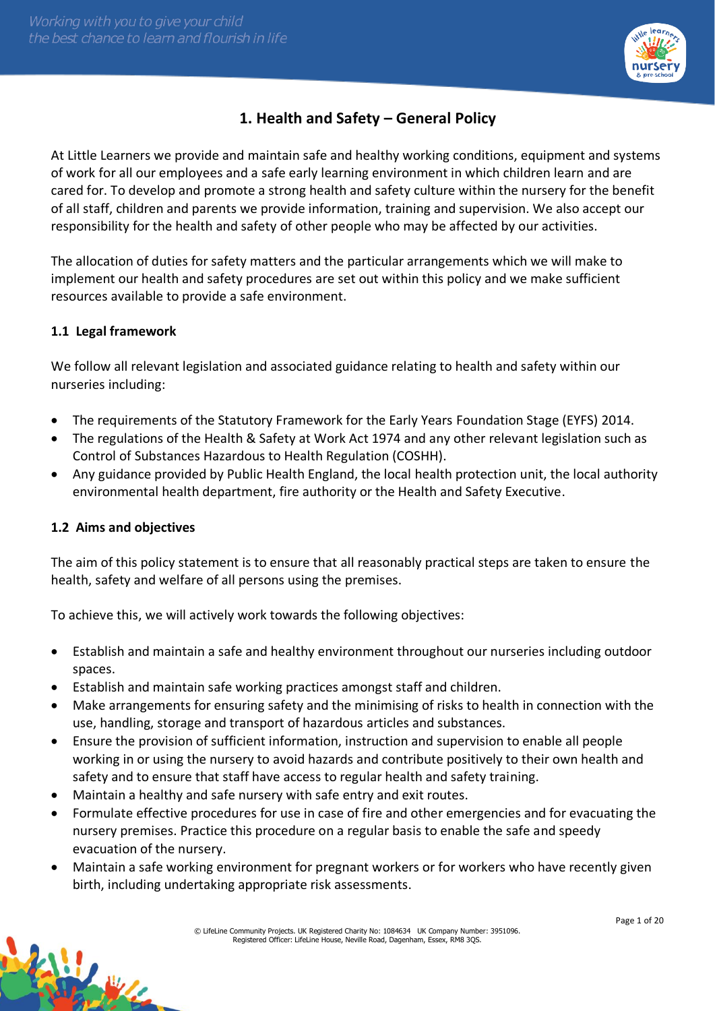

# **1. Health and Safety – General Policy**

At Little Learners we provide and maintain safe and healthy working conditions, equipment and systems of work for all our employees and a safe early learning environment in which children learn and are cared for. To develop and promote a strong health and safety culture within the nursery for the benefit of all staff, children and parents we provide information, training and supervision. We also accept our responsibility for the health and safety of other people who may be affected by our activities.

The allocation of duties for safety matters and the particular arrangements which we will make to implement our health and safety procedures are set out within this policy and we make sufficient resources available to provide a safe environment.

# **1.1 Legal framework**

We follow all relevant legislation and associated guidance relating to health and safety within our nurseries including:

- The requirements of the Statutory Framework for the Early Years Foundation Stage (EYFS) 2014.
- The regulations of the Health & Safety at Work Act 1974 and any other relevant legislation such as Control of Substances Hazardous to Health Regulation (COSHH).
- Any guidance provided by Public Health England, the local health protection unit, the local authority environmental health department, fire authority or the Health and Safety Executive.

#### **1.2 Aims and objectives**

学习

The aim of this policy statement is to ensure that all reasonably practical steps are taken to ensure the health, safety and welfare of all persons using the premises.

To achieve this, we will actively work towards the following objectives:

- Establish and maintain a safe and healthy environment throughout our nurseries including outdoor spaces.
- Establish and maintain safe working practices amongst staff and children.
- Make arrangements for ensuring safety and the minimising of risks to health in connection with the use, handling, storage and transport of hazardous articles and substances.
- Ensure the provision of sufficient information, instruction and supervision to enable all people working in or using the nursery to avoid hazards and contribute positively to their own health and safety and to ensure that staff have access to regular health and safety training.
- Maintain a healthy and safe nursery with safe entry and exit routes.
- Formulate effective procedures for use in case of fire and other emergencies and for evacuating the nursery premises. Practice this procedure on a regular basis to enable the safe and speedy evacuation of the nursery.
- Maintain a safe working environment for pregnant workers or for workers who have recently given birth, including undertaking appropriate risk assessments.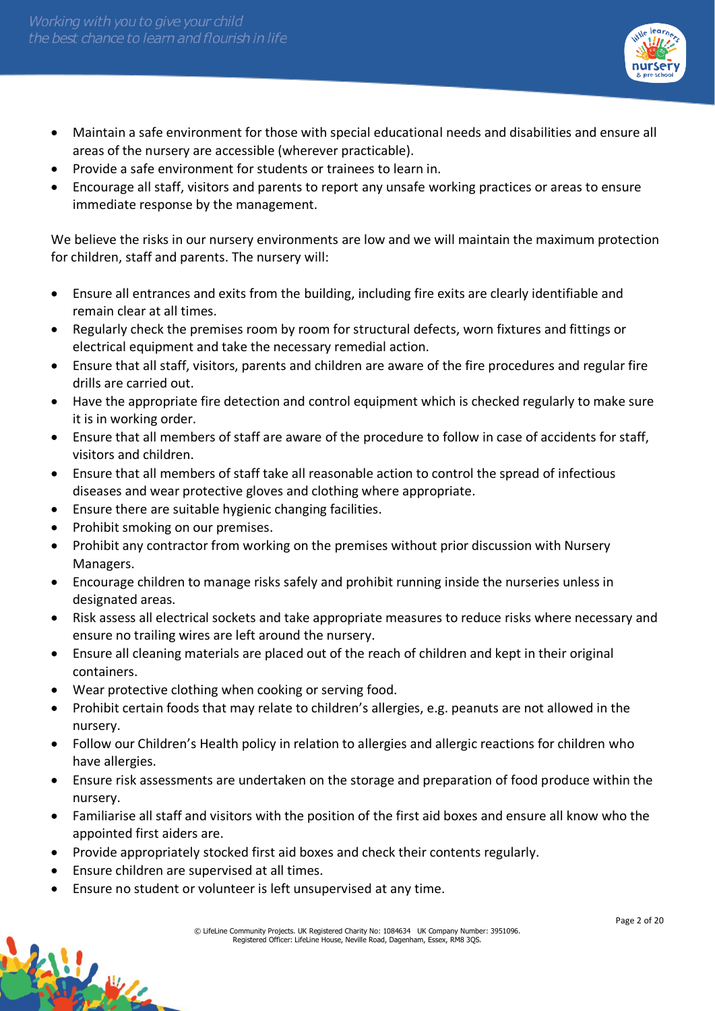

- Maintain a safe environment for those with special educational needs and disabilities and ensure all areas of the nursery are accessible (wherever practicable).
- Provide a safe environment for students or trainees to learn in.
- Encourage all staff, visitors and parents to report any unsafe working practices or areas to ensure immediate response by the management.

We believe the risks in our nursery environments are low and we will maintain the maximum protection for children, staff and parents. The nursery will:

- Ensure all entrances and exits from the building, including fire exits are clearly identifiable and remain clear at all times.
- Regularly check the premises room by room for structural defects, worn fixtures and fittings or electrical equipment and take the necessary remedial action.
- Ensure that all staff, visitors, parents and children are aware of the fire procedures and regular fire drills are carried out.
- Have the appropriate fire detection and control equipment which is checked regularly to make sure it is in working order.
- Ensure that all members of staff are aware of the procedure to follow in case of accidents for staff, visitors and children.
- Ensure that all members of staff take all reasonable action to control the spread of infectious diseases and wear protective gloves and clothing where appropriate.
- Ensure there are suitable hygienic changing facilities.
- Prohibit smoking on our premises.
- Prohibit any contractor from working on the premises without prior discussion with Nursery Managers.
- Encourage children to manage risks safely and prohibit running inside the nurseries unless in designated areas.
- Risk assess all electrical sockets and take appropriate measures to reduce risks where necessary and ensure no trailing wires are left around the nursery.
- Ensure all cleaning materials are placed out of the reach of children and kept in their original containers.
- Wear protective clothing when cooking or serving food.
- Prohibit certain foods that may relate to children's allergies, e.g. peanuts are not allowed in the nursery.
- Follow our Children's Health policy in relation to allergies and allergic reactions for children who have allergies.
- Ensure risk assessments are undertaken on the storage and preparation of food produce within the nursery.
- Familiarise all staff and visitors with the position of the first aid boxes and ensure all know who the appointed first aiders are.
- Provide appropriately stocked first aid boxes and check their contents regularly.
- Ensure children are supervised at all times.

W.

• Ensure no student or volunteer is left unsupervised at any time.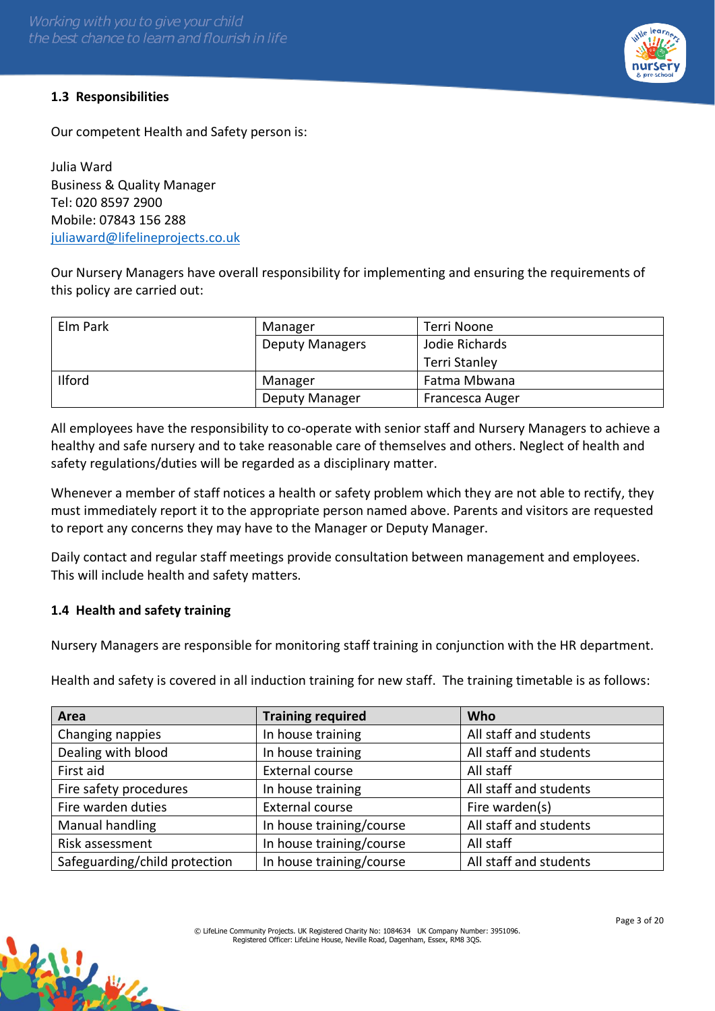# **1.3 Responsibilities**

Our competent Health and Safety person is:

Julia Ward Business & Quality Manager Tel: 020 8597 2900 Mobile: 07843 156 288 [juliaward@lifelineprojects.co.uk](mailto:juliaward@lifelineprojects.co.uk)

Our Nursery Managers have overall responsibility for implementing and ensuring the requirements of this policy are carried out:

| Elm Park      | Manager                | Terri Noone          |
|---------------|------------------------|----------------------|
|               | <b>Deputy Managers</b> | Jodie Richards       |
|               |                        | <b>Terri Stanley</b> |
| <b>Ilford</b> | Manager                | Fatma Mbwana         |
|               | <b>Deputy Manager</b>  | Francesca Auger      |

All employees have the responsibility to co-operate with senior staff and Nursery Managers to achieve a healthy and safe nursery and to take reasonable care of themselves and others. Neglect of health and safety regulations/duties will be regarded as a disciplinary matter.

Whenever a member of staff notices a health or safety problem which they are not able to rectify, they must immediately report it to the appropriate person named above. Parents and visitors are requested to report any concerns they may have to the Manager or Deputy Manager.

Daily contact and regular staff meetings provide consultation between management and employees. This will include health and safety matters.

# **1.4 Health and safety training**

松山

Nursery Managers are responsible for monitoring staff training in conjunction with the HR department.

Health and safety is covered in all induction training for new staff. The training timetable is as follows:

| Area                          | <b>Training required</b> | <b>Who</b>             |
|-------------------------------|--------------------------|------------------------|
| Changing nappies              | In house training        | All staff and students |
| Dealing with blood            | In house training        | All staff and students |
| First aid                     | External course          | All staff              |
| Fire safety procedures        | In house training        | All staff and students |
| Fire warden duties            | External course          | Fire warden(s)         |
| Manual handling               | In house training/course | All staff and students |
| Risk assessment               | In house training/course | All staff              |
| Safeguarding/child protection | In house training/course | All staff and students |

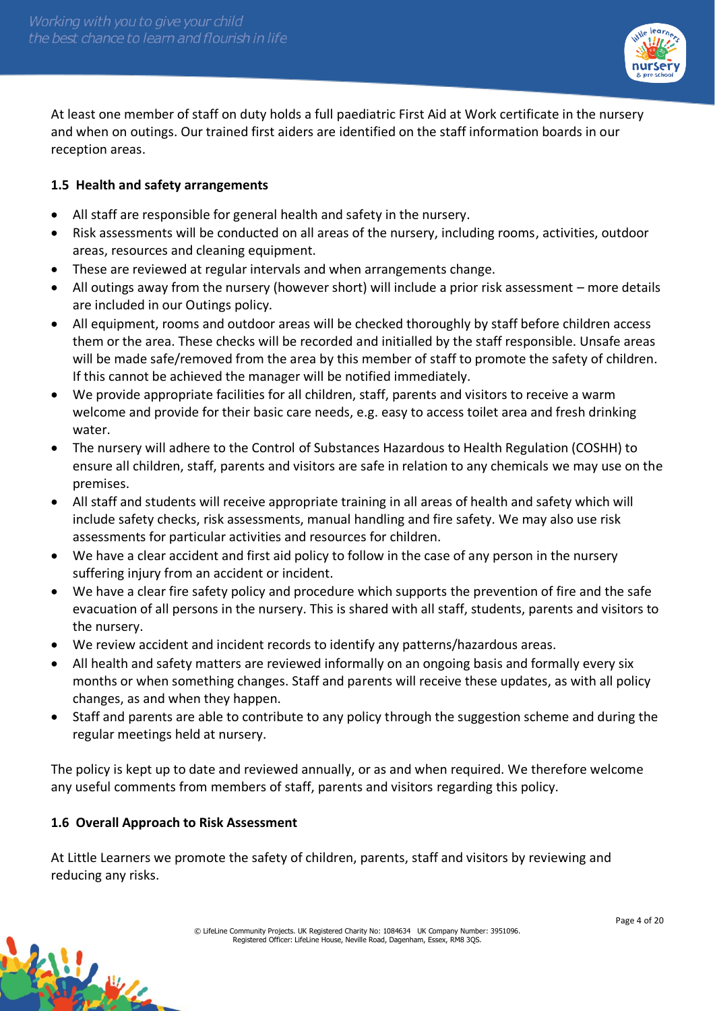

At least one member of staff on duty holds a full paediatric First Aid at Work certificate in the nursery and when on outings. Our trained first aiders are identified on the staff information boards in our reception areas.

# **1.5 Health and safety arrangements**

- All staff are responsible for general health and safety in the nursery.
- Risk assessments will be conducted on all areas of the nursery, including rooms, activities, outdoor areas, resources and cleaning equipment.
- These are reviewed at regular intervals and when arrangements change.
- All outings away from the nursery (however short) will include a prior risk assessment more details are included in our Outings policy.
- All equipment, rooms and outdoor areas will be checked thoroughly by staff before children access them or the area. These checks will be recorded and initialled by the staff responsible. Unsafe areas will be made safe/removed from the area by this member of staff to promote the safety of children. If this cannot be achieved the manager will be notified immediately.
- We provide appropriate facilities for all children, staff, parents and visitors to receive a warm welcome and provide for their basic care needs, e.g. easy to access toilet area and fresh drinking water.
- The nursery will adhere to the Control of Substances Hazardous to Health Regulation (COSHH) to ensure all children, staff, parents and visitors are safe in relation to any chemicals we may use on the premises.
- All staff and students will receive appropriate training in all areas of health and safety which will include safety checks, risk assessments, manual handling and fire safety. We may also use risk assessments for particular activities and resources for children.
- We have a clear accident and first aid policy to follow in the case of any person in the nursery suffering injury from an accident or incident.
- We have a clear fire safety policy and procedure which supports the prevention of fire and the safe evacuation of all persons in the nursery. This is shared with all staff, students, parents and visitors to the nursery.
- We review accident and incident records to identify any patterns/hazardous areas.
- All health and safety matters are reviewed informally on an ongoing basis and formally every six months or when something changes. Staff and parents will receive these updates, as with all policy changes, as and when they happen.
- Staff and parents are able to contribute to any policy through the suggestion scheme and during the regular meetings held at nursery.

The policy is kept up to date and reviewed annually, or as and when required. We therefore welcome any useful comments from members of staff, parents and visitors regarding this policy.

# **1.6 Overall Approach to Risk Assessment**

At Little Learners we promote the safety of children, parents, staff and visitors by reviewing and reducing any risks.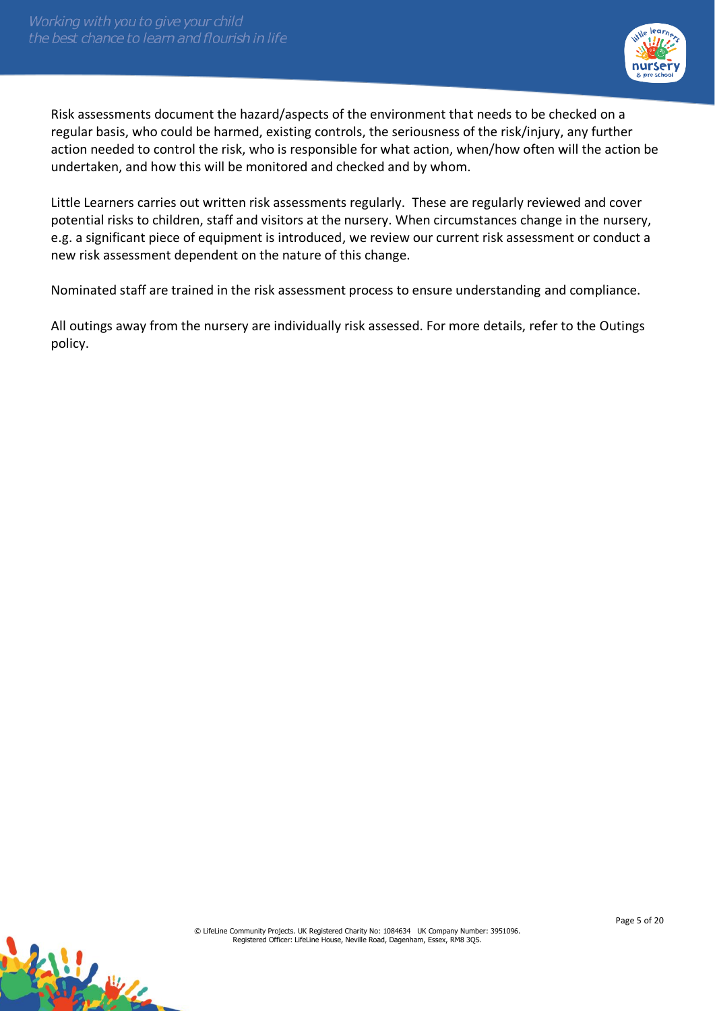

Risk assessments document the hazard/aspects of the environment that needs to be checked on a regular basis, who could be harmed, existing controls, the seriousness of the risk/injury, any further action needed to control the risk, who is responsible for what action, when/how often will the action be undertaken, and how this will be monitored and checked and by whom.

Little Learners carries out written risk assessments regularly. These are regularly reviewed and cover potential risks to children, staff and visitors at the nursery. When circumstances change in the nursery, e.g. a significant piece of equipment is introduced, we review our current risk assessment or conduct a new risk assessment dependent on the nature of this change.

Nominated staff are trained in the risk assessment process to ensure understanding and compliance.

All outings away from the nursery are individually risk assessed. For more details, refer to the Outings policy.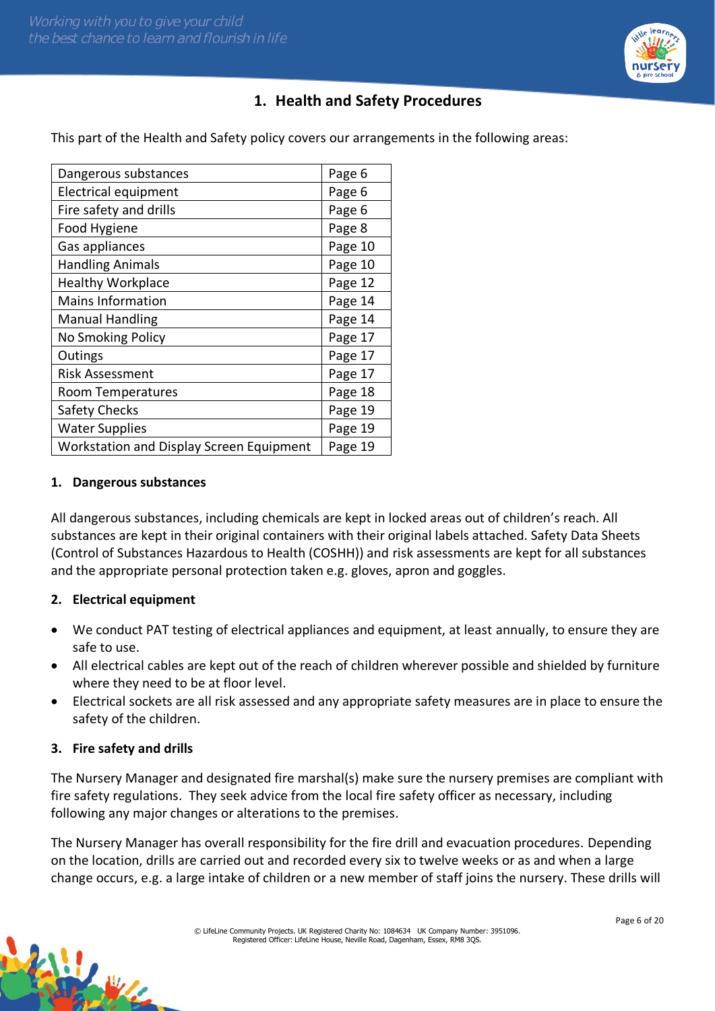

# **1. Health and Safety Procedures**

This part of the Health and Safety policy covers our arrangements in the following areas:

| Dangerous substances                     | Page 6  |
|------------------------------------------|---------|
| <b>Electrical equipment</b>              | Page 6  |
| Fire safety and drills                   | Page 6  |
| Food Hygiene                             | Page 8  |
| Gas appliances                           | Page 10 |
| <b>Handling Animals</b>                  | Page 10 |
| <b>Healthy Workplace</b>                 | Page 12 |
| <b>Mains Information</b>                 | Page 14 |
| <b>Manual Handling</b>                   | Page 14 |
| No Smoking Policy                        | Page 17 |
| Outings                                  | Page 17 |
| <b>Risk Assessment</b>                   | Page 17 |
| Room Temperatures                        | Page 18 |
| <b>Safety Checks</b>                     | Page 19 |
| <b>Water Supplies</b>                    | Page 19 |
| Workstation and Display Screen Equipment | Page 19 |

#### **1. Dangerous substances**

All dangerous substances, including chemicals are kept in locked areas out of children's reach. All substances are kept in their original containers with their original labels attached. Safety Data Sheets (Control of Substances Hazardous to Health (COSHH)) and risk assessments are kept for all substances and the appropriate personal protection taken e.g. gloves, apron and goggles.

#### **2. Electrical equipment**

- We conduct PAT testing of electrical appliances and equipment, at least annually, to ensure they are safe to use.
- All electrical cables are kept out of the reach of children wherever possible and shielded by furniture where they need to be at floor level.
- Electrical sockets are all risk assessed and any appropriate safety measures are in place to ensure the safety of the children.

#### **3. Fire safety and drills**

Harry House

The Nursery Manager and designated fire marshal(s) make sure the nursery premises are compliant with fire safety regulations. They seek advice from the local fire safety officer as necessary, including following any major changes or alterations to the premises.

The Nursery Manager has overall responsibility for the fire drill and evacuation procedures. Depending on the location, drills are carried out and recorded every six to twelve weeks or as and when a large change occurs, e.g. a large intake of children or a new member of staff joins the nursery. These drills will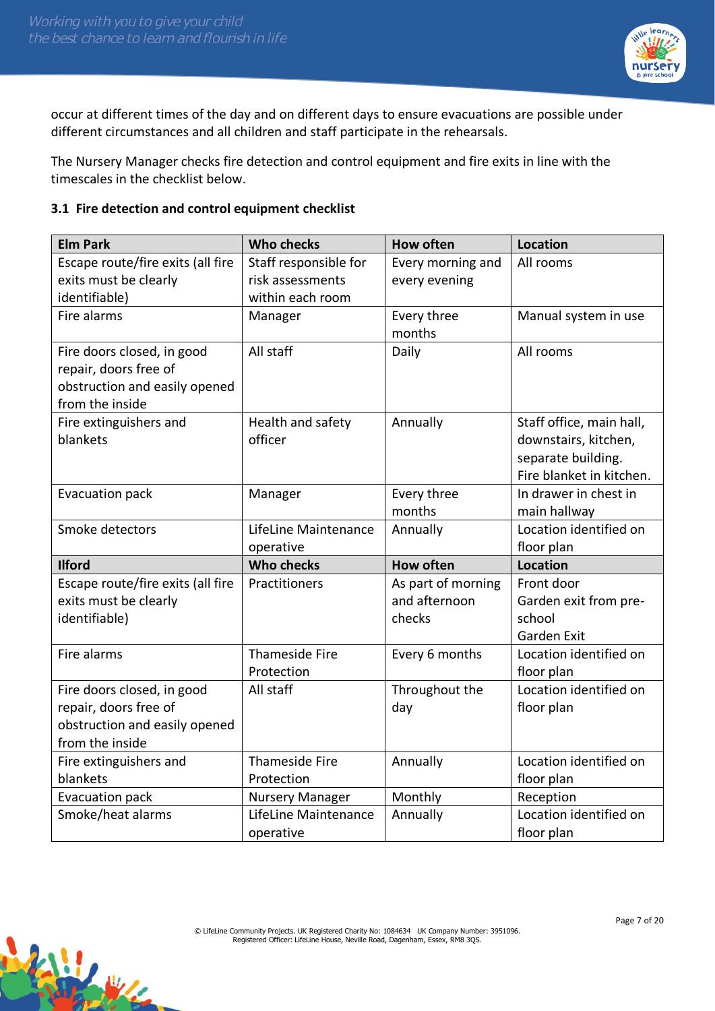松山



occur at different times of the day and on different days to ensure evacuations are possible under different circumstances and all children and staff participate in the rehearsals.

The Nursery Manager checks fire detection and control equipment and fire exits in line with the timescales in the checklist below.

### **3.1 Fire detection and control equipment checklist**

| <b>Elm Park</b>                   | <b>Who checks</b>      | <b>How often</b>   | <b>Location</b>          |
|-----------------------------------|------------------------|--------------------|--------------------------|
| Escape route/fire exits (all fire | Staff responsible for  | Every morning and  | All rooms                |
| exits must be clearly             | risk assessments       | every evening      |                          |
| identifiable)                     | within each room       |                    |                          |
| Fire alarms                       | Manager                | Every three        | Manual system in use     |
|                                   |                        | months             |                          |
| Fire doors closed, in good        | All staff              | Daily              | All rooms                |
| repair, doors free of             |                        |                    |                          |
| obstruction and easily opened     |                        |                    |                          |
| from the inside                   |                        |                    |                          |
| Fire extinguishers and            | Health and safety      | Annually           | Staff office, main hall, |
| blankets                          | officer                |                    | downstairs, kitchen,     |
|                                   |                        |                    | separate building.       |
|                                   |                        |                    | Fire blanket in kitchen. |
| Evacuation pack                   | Manager                | Every three        | In drawer in chest in    |
|                                   |                        | months             | main hallway             |
| Smoke detectors                   | LifeLine Maintenance   | Annually           | Location identified on   |
|                                   | operative              |                    | floor plan               |
| <b>Ilford</b>                     | <b>Who checks</b>      | <b>How often</b>   | <b>Location</b>          |
| Escape route/fire exits (all fire | Practitioners          | As part of morning | Front door               |
| exits must be clearly             |                        | and afternoon      | Garden exit from pre-    |
| identifiable)                     |                        | checks             | school                   |
|                                   |                        |                    | Garden Exit              |
| Fire alarms                       | <b>Thameside Fire</b>  | Every 6 months     | Location identified on   |
|                                   | Protection             |                    | floor plan               |
| Fire doors closed, in good        | All staff              | Throughout the     | Location identified on   |
| repair, doors free of             |                        | day                | floor plan               |
| obstruction and easily opened     |                        |                    |                          |
| from the inside                   |                        |                    |                          |
| Fire extinguishers and            | <b>Thameside Fire</b>  | Annually           | Location identified on   |
| blankets                          | Protection             |                    | floor plan               |
| Evacuation pack                   | <b>Nursery Manager</b> | Monthly            | Reception                |
| Smoke/heat alarms                 | LifeLine Maintenance   | Annually           | Location identified on   |
|                                   | operative              |                    | floor plan               |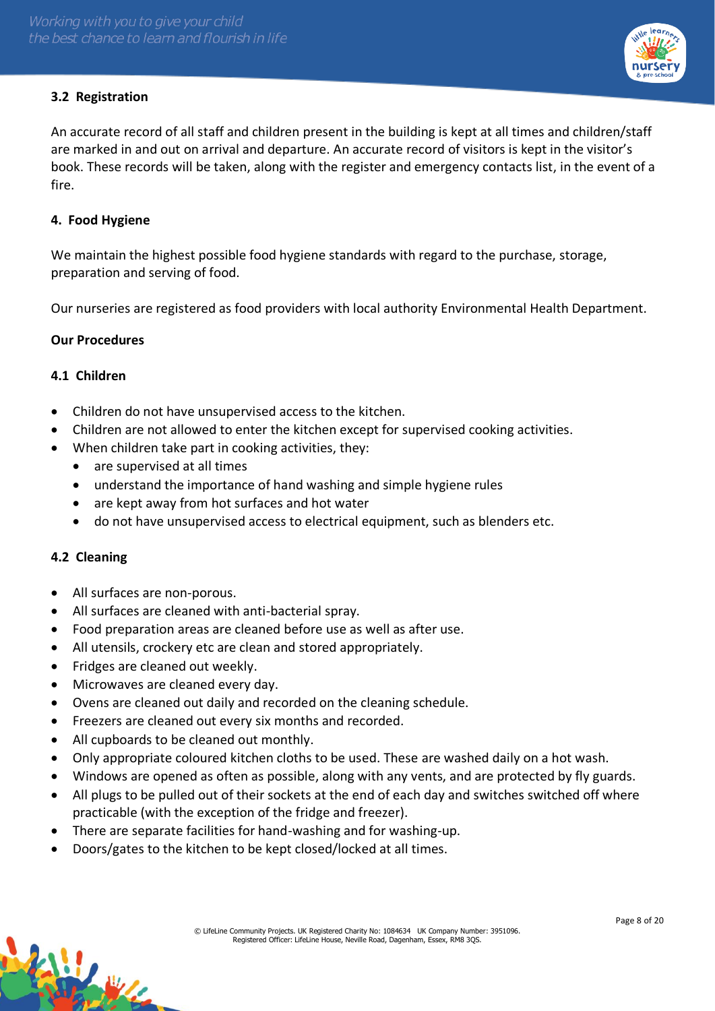# **3.2 Registration**

An accurate record of all staff and children present in the building is kept at all times and children/staff are marked in and out on arrival and departure. An accurate record of visitors is kept in the visitor's book. These records will be taken, along with the register and emergency contacts list, in the event of a fire.

### **4. Food Hygiene**

We maintain the highest possible food hygiene standards with regard to the purchase, storage, preparation and serving of food.

Our nurseries are registered as food providers with local authority Environmental Health Department.

#### **Our Procedures**

### **4.1 Children**

- Children do not have unsupervised access to the kitchen.
- Children are not allowed to enter the kitchen except for supervised cooking activities.
- When children take part in cooking activities, they:
	- are supervised at all times
	- understand the importance of hand washing and simple hygiene rules
	- are kept away from hot surfaces and hot water
	- do not have unsupervised access to electrical equipment, such as blenders etc.

#### **4.2 Cleaning**

- All surfaces are non-porous.
- All surfaces are cleaned with anti-bacterial spray.
- Food preparation areas are cleaned before use as well as after use.
- All utensils, crockery etc are clean and stored appropriately.
- Fridges are cleaned out weekly.
- Microwaves are cleaned every day.
- Ovens are cleaned out daily and recorded on the cleaning schedule.
- Freezers are cleaned out every six months and recorded.
- All cupboards to be cleaned out monthly.
- Only appropriate coloured kitchen cloths to be used. These are washed daily on a hot wash.
- Windows are opened as often as possible, along with any vents, and are protected by fly guards.
- All plugs to be pulled out of their sockets at the end of each day and switches switched off where practicable (with the exception of the fridge and freezer).
- There are separate facilities for hand-washing and for washing-up.
- Doors/gates to the kitchen to be kept closed/locked at all times.

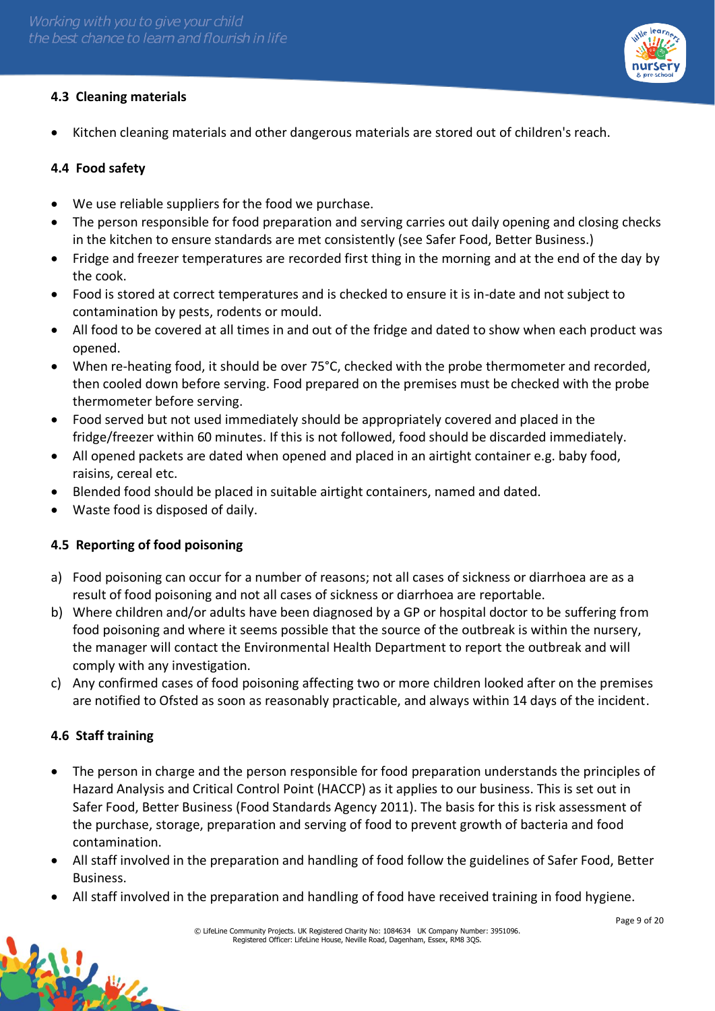

# **4.3 Cleaning materials**

• Kitchen cleaning materials and other dangerous materials are stored out of children's reach.

### **4.4 Food safety**

- We use reliable suppliers for the food we purchase.
- The person responsible for food preparation and serving carries out daily opening and closing checks in the kitchen to ensure standards are met consistently (see Safer Food, Better Business.)
- Fridge and freezer temperatures are recorded first thing in the morning and at the end of the day by the cook.
- Food is stored at correct temperatures and is checked to ensure it is in-date and not subject to contamination by pests, rodents or mould.
- All food to be covered at all times in and out of the fridge and dated to show when each product was opened.
- When re-heating food, it should be over 75°C, checked with the probe thermometer and recorded, then cooled down before serving. Food prepared on the premises must be checked with the probe thermometer before serving.
- Food served but not used immediately should be appropriately covered and placed in the fridge/freezer within 60 minutes. If this is not followed, food should be discarded immediately.
- All opened packets are dated when opened and placed in an airtight container e.g. baby food, raisins, cereal etc.
- Blended food should be placed in suitable airtight containers, named and dated.
- Waste food is disposed of daily.

# **4.5 Reporting of food poisoning**

- a) Food poisoning can occur for a number of reasons; not all cases of sickness or diarrhoea are as a result of food poisoning and not all cases of sickness or diarrhoea are reportable.
- b) Where children and/or adults have been diagnosed by a GP or hospital doctor to be suffering from food poisoning and where it seems possible that the source of the outbreak is within the nursery, the manager will contact the Environmental Health Department to report the outbreak and will comply with any investigation.
- c) Any confirmed cases of food poisoning affecting two or more children looked after on the premises are notified to Ofsted as soon as reasonably practicable, and always within 14 days of the incident.

# **4.6 Staff training**

- The person in charge and the person responsible for food preparation understands the principles of Hazard Analysis and Critical Control Point (HACCP) as it applies to our business. This is set out in Safer Food, Better Business (Food Standards Agency 2011). The basis for this is risk assessment of the purchase, storage, preparation and serving of food to prevent growth of bacteria and food contamination.
- All staff involved in the preparation and handling of food follow the guidelines of Safer Food, Better Business.
- All staff involved in the preparation and handling of food have received training in food hygiene.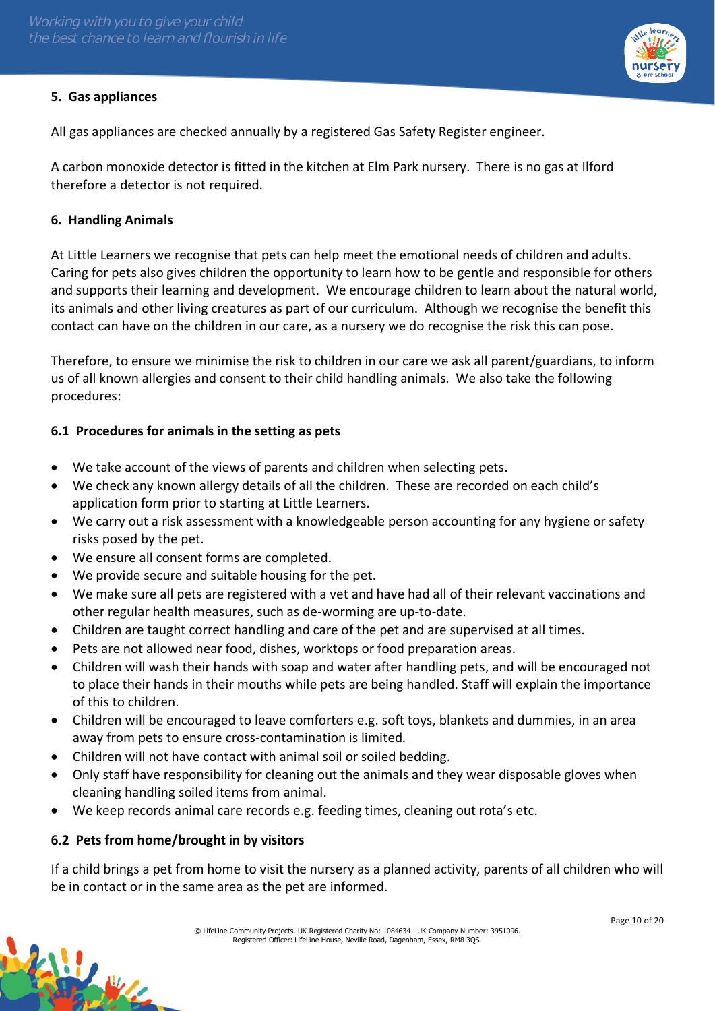# **5. Gas appliances**

All gas appliances are checked annually by a registered Gas Safety Register engineer.

A carbon monoxide detector is fitted in the kitchen at Elm Park nursery. There is no gas at Ilford therefore a detector is not required.

### **6. Handling Animals**

At Little Learners we recognise that pets can help meet the emotional needs of children and adults. Caring for pets also gives children the opportunity to learn how to be gentle and responsible for others and supports their learning and development. We encourage children to learn about the natural world, its animals and other living creatures as part of our curriculum. Although we recognise the benefit this contact can have on the children in our care, as a nursery we do recognise the risk this can pose.

Therefore, to ensure we minimise the risk to children in our care we ask all parent/guardians, to inform us of all known allergies and consent to their child handling animals. We also take the following procedures:

# **6.1 Procedures for animals in the setting as pets**

- We take account of the views of parents and children when selecting pets.
- We check any known allergy details of all the children. These are recorded on each child's application form prior to starting at Little Learners.
- We carry out a risk assessment with a knowledgeable person accounting for any hygiene or safety risks posed by the pet.
- We ensure all consent forms are completed.
- We provide secure and suitable housing for the pet.
- We make sure all pets are registered with a vet and have had all of their relevant vaccinations and other regular health measures, such as de-worming are up-to-date.
- Children are taught correct handling and care of the pet and are supervised at all times.
- Pets are not allowed near food, dishes, worktops or food preparation areas.
- Children will wash their hands with soap and water after handling pets, and will be encouraged not to place their hands in their mouths while pets are being handled. Staff will explain the importance of this to children.
- Children will be encouraged to leave comforters e.g. soft toys, blankets and dummies, in an area away from pets to ensure cross-contamination is limited.
- Children will not have contact with animal soil or soiled bedding.
- Only staff have responsibility for cleaning out the animals and they wear disposable gloves when cleaning handling soiled items from animal.
- We keep records animal care records e.g. feeding times, cleaning out rota's etc.

# **6.2 Pets from home/brought in by visitors**

William

If a child brings a pet from home to visit the nursery as a planned activity, parents of all children who will be in contact or in the same area as the pet are informed.

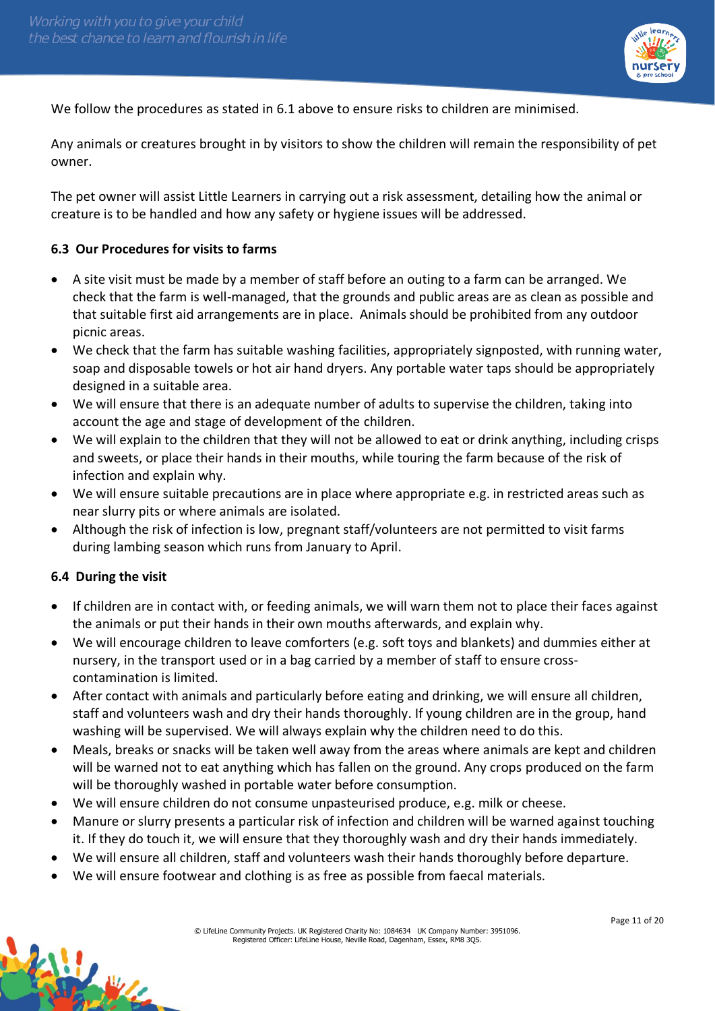

We follow the procedures as stated in 6.1 above to ensure risks to children are minimised.

Any animals or creatures brought in by visitors to show the children will remain the responsibility of pet owner.

The pet owner will assist Little Learners in carrying out a risk assessment, detailing how the animal or creature is to be handled and how any safety or hygiene issues will be addressed.

### **6.3 Our Procedures for visits to farms**

- A site visit must be made by a member of staff before an outing to a farm can be arranged. We check that the farm is well-managed, that the grounds and public areas are as clean as possible and that suitable first aid arrangements are in place. Animals should be prohibited from any outdoor picnic areas.
- We check that the farm has suitable washing facilities, appropriately signposted, with running water, soap and disposable towels or hot air hand dryers. Any portable water taps should be appropriately designed in a suitable area.
- We will ensure that there is an adequate number of adults to supervise the children, taking into account the age and stage of development of the children.
- We will explain to the children that they will not be allowed to eat or drink anything, including crisps and sweets, or place their hands in their mouths, while touring the farm because of the risk of infection and explain why.
- We will ensure suitable precautions are in place where appropriate e.g. in restricted areas such as near slurry pits or where animals are isolated.
- Although the risk of infection is low, pregnant staff/volunteers are not permitted to visit farms during lambing season which runs from January to April.

#### **6.4 During the visit**

- If children are in contact with, or feeding animals, we will warn them not to place their faces against the animals or put their hands in their own mouths afterwards, and explain why.
- We will encourage children to leave comforters (e.g. soft toys and blankets) and dummies either at nursery, in the transport used or in a bag carried by a member of staff to ensure crosscontamination is limited.
- After contact with animals and particularly before eating and drinking, we will ensure all children, staff and volunteers wash and dry their hands thoroughly. If young children are in the group, hand washing will be supervised. We will always explain why the children need to do this.
- Meals, breaks or snacks will be taken well away from the areas where animals are kept and children will be warned not to eat anything which has fallen on the ground. Any crops produced on the farm will be thoroughly washed in portable water before consumption.
- We will ensure children do not consume unpasteurised produce, e.g. milk or cheese.
- Manure or slurry presents a particular risk of infection and children will be warned against touching it. If they do touch it, we will ensure that they thoroughly wash and dry their hands immediately.
- We will ensure all children, staff and volunteers wash their hands thoroughly before departure.
- We will ensure footwear and clothing is as free as possible from faecal materials.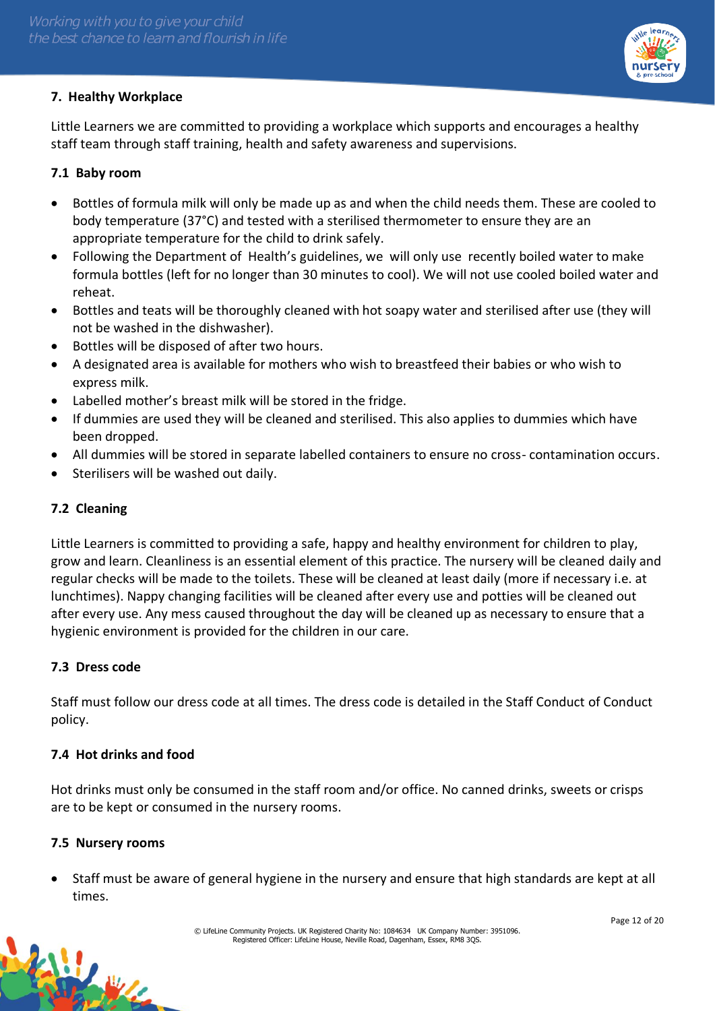# **7. Healthy Workplace**

Little Learners we are committed to providing a workplace which supports and encourages a healthy staff team through staff training, health and safety awareness and supervisions.

### **7.1 Baby room**

- Bottles of formula milk will only be made up as and when the child needs them. These are cooled to body temperature (37°C) and tested with a sterilised thermometer to ensure they are an appropriate temperature for the child to drink safely.
- Following the Department of Health's guidelines, we will only use recently boiled water to make formula bottles (left for no longer than 30 minutes to cool). We will not use cooled boiled water and reheat.
- Bottles and teats will be thoroughly cleaned with hot soapy water and sterilised after use (they will not be washed in the dishwasher).
- Bottles will be disposed of after two hours.
- A designated area is available for mothers who wish to breastfeed their babies or who wish to express milk.
- Labelled mother's breast milk will be stored in the fridge.
- If dummies are used they will be cleaned and sterilised. This also applies to dummies which have been dropped.
- All dummies will be stored in separate labelled containers to ensure no cross- contamination occurs.
- Sterilisers will be washed out daily.

### **7.2 Cleaning**

Little Learners is committed to providing a safe, happy and healthy environment for children to play, grow and learn. Cleanliness is an essential element of this practice. The nursery will be cleaned daily and regular checks will be made to the toilets. These will be cleaned at least daily (more if necessary i.e. at lunchtimes). Nappy changing facilities will be cleaned after every use and potties will be cleaned out after every use. Any mess caused throughout the day will be cleaned up as necessary to ensure that a hygienic environment is provided for the children in our care.

#### **7.3 Dress code**

Staff must follow our dress code at all times. The dress code is detailed in the Staff Conduct of Conduct policy.

#### **7.4 Hot drinks and food**

Hot drinks must only be consumed in the staff room and/or office. No canned drinks, sweets or crisps are to be kept or consumed in the nursery rooms.

#### **7.5 Nursery rooms**

W.

• Staff must be aware of general hygiene in the nursery and ensure that high standards are kept at all times.

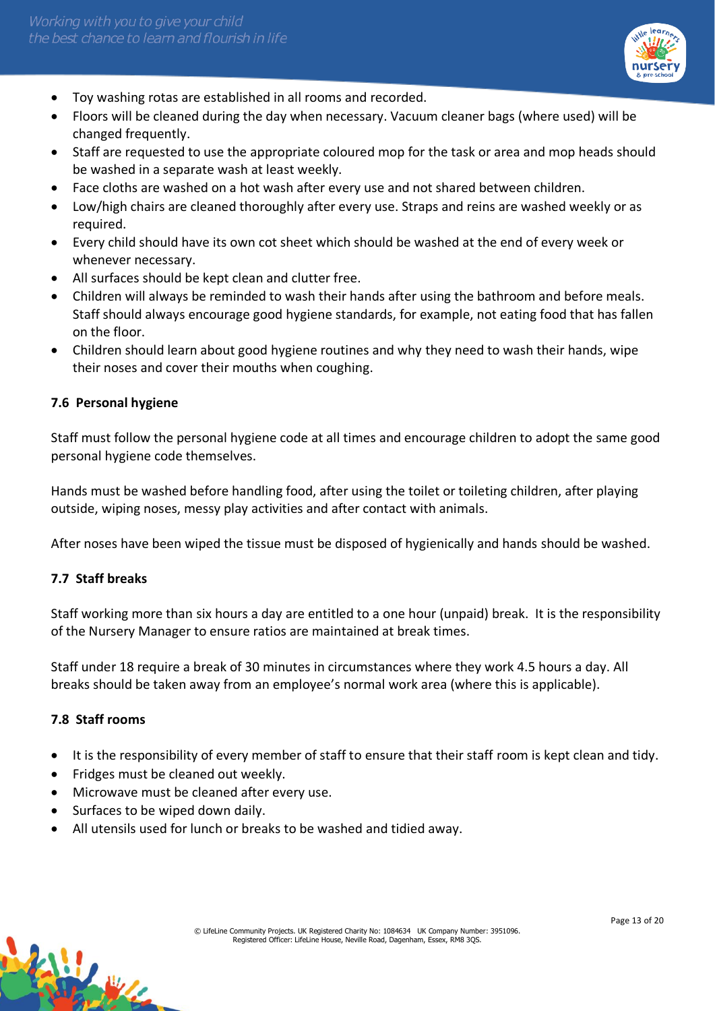

- Toy washing rotas are established in all rooms and recorded.
- Floors will be cleaned during the day when necessary. Vacuum cleaner bags (where used) will be changed frequently.
- Staff are requested to use the appropriate coloured mop for the task or area and mop heads should be washed in a separate wash at least weekly.
- Face cloths are washed on a hot wash after every use and not shared between children.
- Low/high chairs are cleaned thoroughly after every use. Straps and reins are washed weekly or as required.
- Every child should have its own cot sheet which should be washed at the end of every week or whenever necessary.
- All surfaces should be kept clean and clutter free.
- Children will always be reminded to wash their hands after using the bathroom and before meals. Staff should always encourage good hygiene standards, for example, not eating food that has fallen on the floor.
- Children should learn about good hygiene routines and why they need to wash their hands, wipe their noses and cover their mouths when coughing.

# **7.6 Personal hygiene**

Staff must follow the personal hygiene code at all times and encourage children to adopt the same good personal hygiene code themselves.

Hands must be washed before handling food, after using the toilet or toileting children, after playing outside, wiping noses, messy play activities and after contact with animals.

After noses have been wiped the tissue must be disposed of hygienically and hands should be washed.

#### **7.7 Staff breaks**

Staff working more than six hours a day are entitled to a one hour (unpaid) break. It is the responsibility of the Nursery Manager to ensure ratios are maintained at break times.

Staff under 18 require a break of 30 minutes in circumstances where they work 4.5 hours a day. All breaks should be taken away from an employee's normal work area (where this is applicable).

#### **7.8 Staff rooms**

- It is the responsibility of every member of staff to ensure that their staff room is kept clean and tidy.
- Fridges must be cleaned out weekly.
- Microwave must be cleaned after every use.
- Surfaces to be wiped down daily.
- All utensils used for lunch or breaks to be washed and tidied away.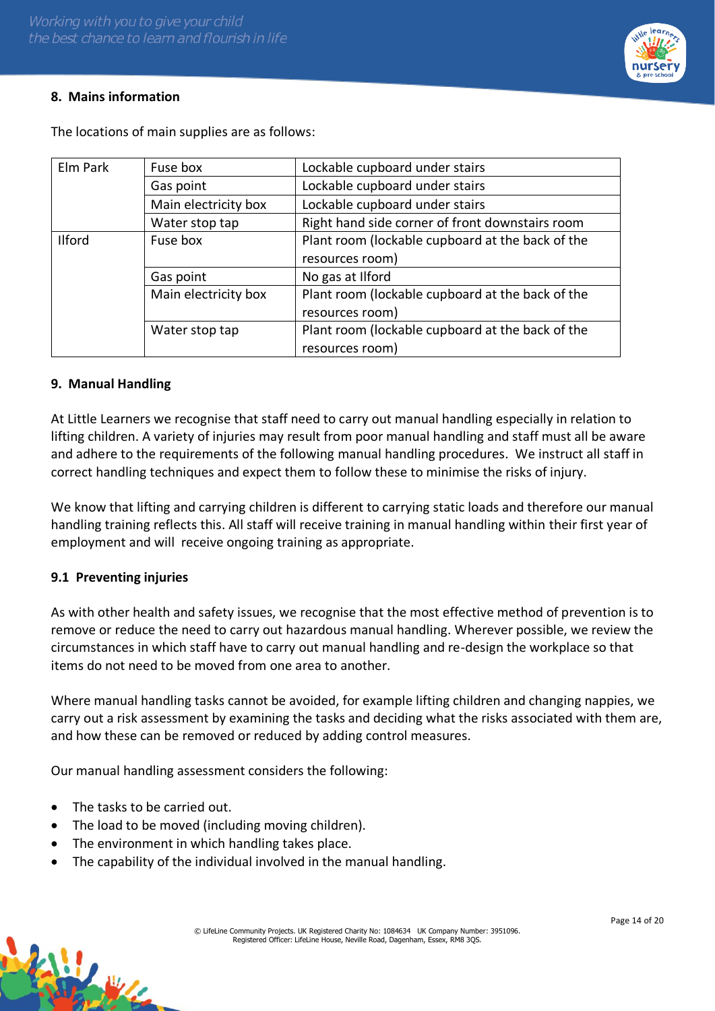# **8. Mains information**

| Elm Park      | Fuse box             | Lockable cupboard under stairs                   |  |
|---------------|----------------------|--------------------------------------------------|--|
|               | Gas point            | Lockable cupboard under stairs                   |  |
|               | Main electricity box | Lockable cupboard under stairs                   |  |
|               | Water stop tap       | Right hand side corner of front downstairs room  |  |
| <b>Ilford</b> | Fuse box             | Plant room (lockable cupboard at the back of the |  |
|               |                      | resources room)                                  |  |
|               | Gas point            | No gas at Ilford                                 |  |
|               | Main electricity box | Plant room (lockable cupboard at the back of the |  |
|               |                      | resources room)                                  |  |
|               | Water stop tap       | Plant room (lockable cupboard at the back of the |  |
|               |                      | resources room)                                  |  |

The locations of main supplies are as follows:

### **9. Manual Handling**

At Little Learners we recognise that staff need to carry out manual handling especially in relation to lifting children. A variety of injuries may result from poor manual handling and staff must all be aware and adhere to the requirements of the following manual handling procedures. We instruct all staff in correct handling techniques and expect them to follow these to minimise the risks of injury.

We know that lifting and carrying children is different to carrying static loads and therefore our manual handling training reflects this. All staff will receive training in manual handling within their first year of employment and will receive ongoing training as appropriate.

#### **9.1 Preventing injuries**

As with other health and safety issues, we recognise that the most effective method of prevention is to remove or reduce the need to carry out hazardous manual handling. Wherever possible, we review the circumstances in which staff have to carry out manual handling and re-design the workplace so that items do not need to be moved from one area to another.

Where manual handling tasks cannot be avoided, for example lifting children and changing nappies, we carry out a risk assessment by examining the tasks and deciding what the risks associated with them are, and how these can be removed or reduced by adding control measures.

Our manual handling assessment considers the following:

- The tasks to be carried out.
- The load to be moved (including moving children).
- The environment in which handling takes place.
- The capability of the individual involved in the manual handling.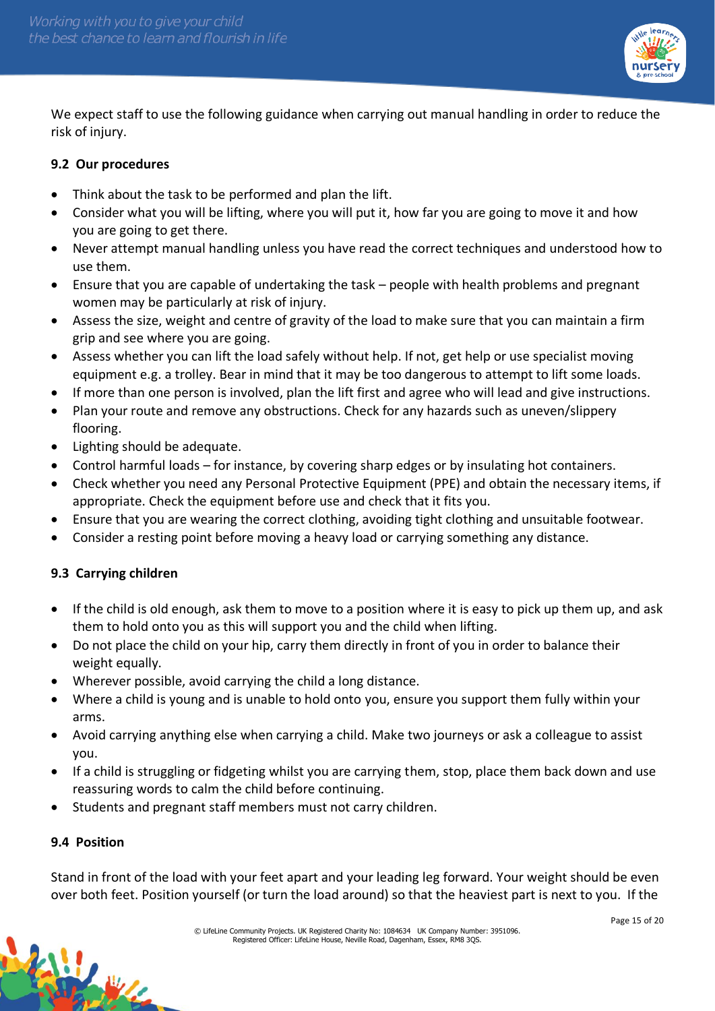

We expect staff to use the following guidance when carrying out manual handling in order to reduce the risk of injury.

### **9.2 Our procedures**

- Think about the task to be performed and plan the lift.
- Consider what you will be lifting, where you will put it, how far you are going to move it and how you are going to get there.
- Never attempt manual handling unless you have read the correct techniques and understood how to use them.
- Ensure that you are capable of undertaking the task people with health problems and pregnant women may be particularly at risk of injury.
- Assess the size, weight and centre of gravity of the load to make sure that you can maintain a firm grip and see where you are going.
- Assess whether you can lift the load safely without help. If not, get help or use specialist moving equipment e.g. a trolley. Bear in mind that it may be too dangerous to attempt to lift some loads.
- If more than one person is involved, plan the lift first and agree who will lead and give instructions.
- Plan your route and remove any obstructions. Check for any hazards such as uneven/slippery flooring.
- Lighting should be adequate.
- Control harmful loads for instance, by covering sharp edges or by insulating hot containers.
- Check whether you need any Personal Protective Equipment (PPE) and obtain the necessary items, if appropriate. Check the equipment before use and check that it fits you.
- Ensure that you are wearing the correct clothing, avoiding tight clothing and unsuitable footwear.
- Consider a resting point before moving a heavy load or carrying something any distance.

# **9.3 Carrying children**

- If the child is old enough, ask them to move to a position where it is easy to pick up them up, and ask them to hold onto you as this will support you and the child when lifting.
- Do not place the child on your hip, carry them directly in front of you in order to balance their weight equally.
- Wherever possible, avoid carrying the child a long distance.
- Where a child is young and is unable to hold onto you, ensure you support them fully within your arms.
- Avoid carrying anything else when carrying a child. Make two journeys or ask a colleague to assist you.
- If a child is struggling or fidgeting whilst you are carrying them, stop, place them back down and use reassuring words to calm the child before continuing.
- Students and pregnant staff members must not carry children.

#### **9.4 Position**

William

Stand in front of the load with your feet apart and your leading leg forward. Your weight should be even over both feet. Position yourself (or turn the load around) so that the heaviest part is next to you. If the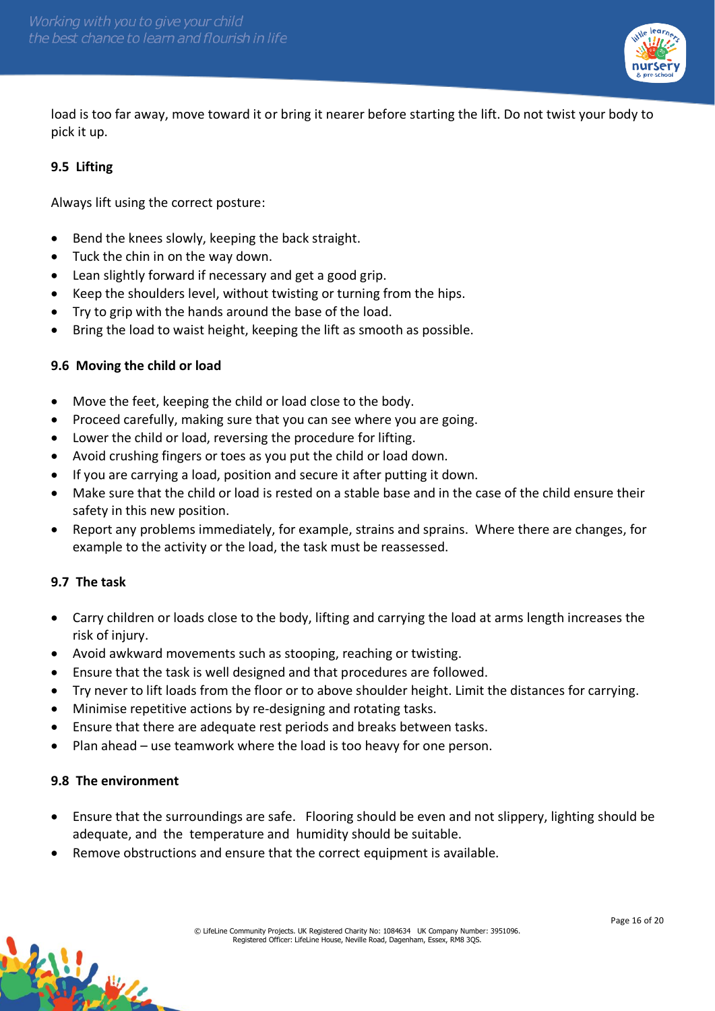

load is too far away, move toward it or bring it nearer before starting the lift. Do not twist your body to pick it up.

### **9.5 Lifting**

Always lift using the correct posture:

- Bend the knees slowly, keeping the back straight.
- Tuck the chin in on the way down.
- Lean slightly forward if necessary and get a good grip.
- Keep the shoulders level, without twisting or turning from the hips.
- Try to grip with the hands around the base of the load.
- Bring the load to waist height, keeping the lift as smooth as possible.

### **9.6 Moving the child or load**

- Move the feet, keeping the child or load close to the body.
- Proceed carefully, making sure that you can see where you are going.
- Lower the child or load, reversing the procedure for lifting.
- Avoid crushing fingers or toes as you put the child or load down.
- If you are carrying a load, position and secure it after putting it down.
- Make sure that the child or load is rested on a stable base and in the case of the child ensure their safety in this new position.
- Report any problems immediately, for example, strains and sprains. Where there are changes, for example to the activity or the load, the task must be reassessed.

#### **9.7 The task**

- Carry children or loads close to the body, lifting and carrying the load at arms length increases the risk of injury.
- Avoid awkward movements such as stooping, reaching or twisting.
- Ensure that the task is well designed and that procedures are followed.
- Try never to lift loads from the floor or to above shoulder height. Limit the distances for carrying.
- Minimise repetitive actions by re-designing and rotating tasks.
- Ensure that there are adequate rest periods and breaks between tasks.
- Plan ahead use teamwork where the load is too heavy for one person.

#### **9.8 The environment**

- Ensure that the surroundings are safe. Flooring should be even and not slippery, lighting should be adequate, and the temperature and humidity should be suitable.
- Remove obstructions and ensure that the correct equipment is available.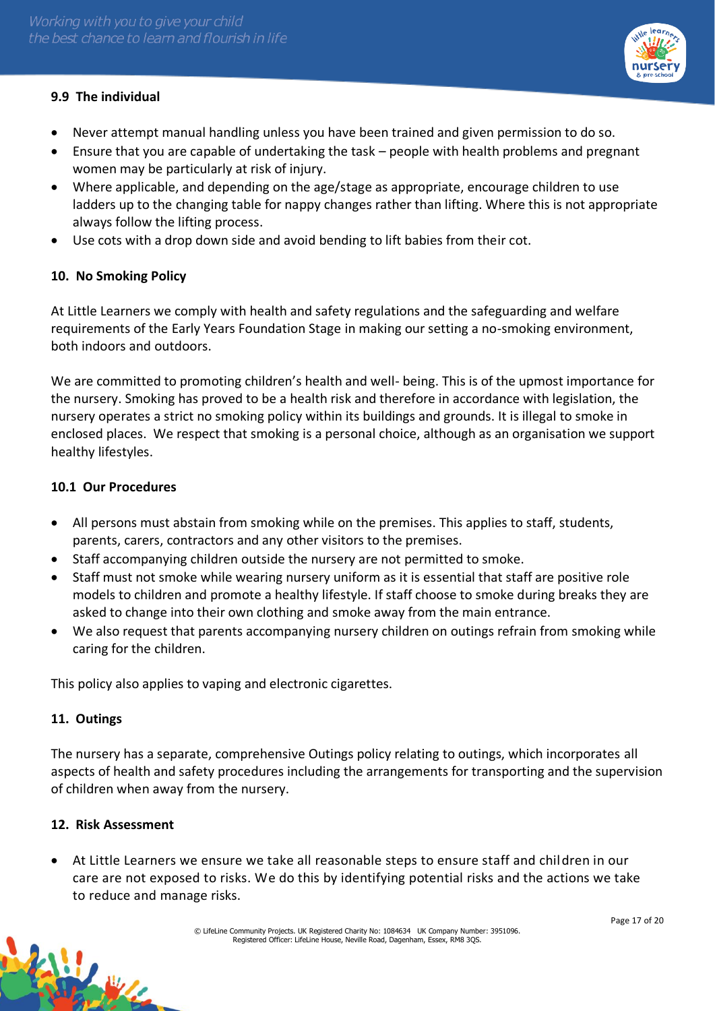# **9.9 The individual**

- Never attempt manual handling unless you have been trained and given permission to do so.
- Ensure that you are capable of undertaking the task people with health problems and pregnant women may be particularly at risk of injury.
- Where applicable, and depending on the age/stage as appropriate, encourage children to use ladders up to the changing table for nappy changes rather than lifting. Where this is not appropriate always follow the lifting process.
- Use cots with a drop down side and avoid bending to lift babies from their cot.

### **10. No Smoking Policy**

At Little Learners we comply with health and safety regulations and the safeguarding and welfare requirements of the Early Years Foundation Stage in making our setting a no-smoking environment, both indoors and outdoors.

We are committed to promoting children's health and well- being. This is of the upmost importance for the nursery. Smoking has proved to be a health risk and therefore in accordance with legislation, the nursery operates a strict no smoking policy within its buildings and grounds. It is illegal to smoke in enclosed places. We respect that smoking is a personal choice, although as an organisation we support healthy lifestyles.

#### **10.1 Our Procedures**

- All persons must abstain from smoking while on the premises. This applies to staff, students, parents, carers, contractors and any other visitors to the premises.
- Staff accompanying children outside the nursery are not permitted to smoke.
- Staff must not smoke while wearing nursery uniform as it is essential that staff are positive role models to children and promote a healthy lifestyle. If staff choose to smoke during breaks they are asked to change into their own clothing and smoke away from the main entrance.
- We also request that parents accompanying nursery children on outings refrain from smoking while caring for the children.

This policy also applies to vaping and electronic cigarettes.

#### **11. Outings**

The nursery has a separate, comprehensive Outings policy relating to outings, which incorporates all aspects of health and safety procedures including the arrangements for transporting and the supervision of children when away from the nursery.

#### **12. Risk Assessment**

• At Little Learners we ensure we take all reasonable steps to ensure staff and children in our care are not exposed to risks. We do this by identifying potential risks and the actions we take to reduce and manage risks.

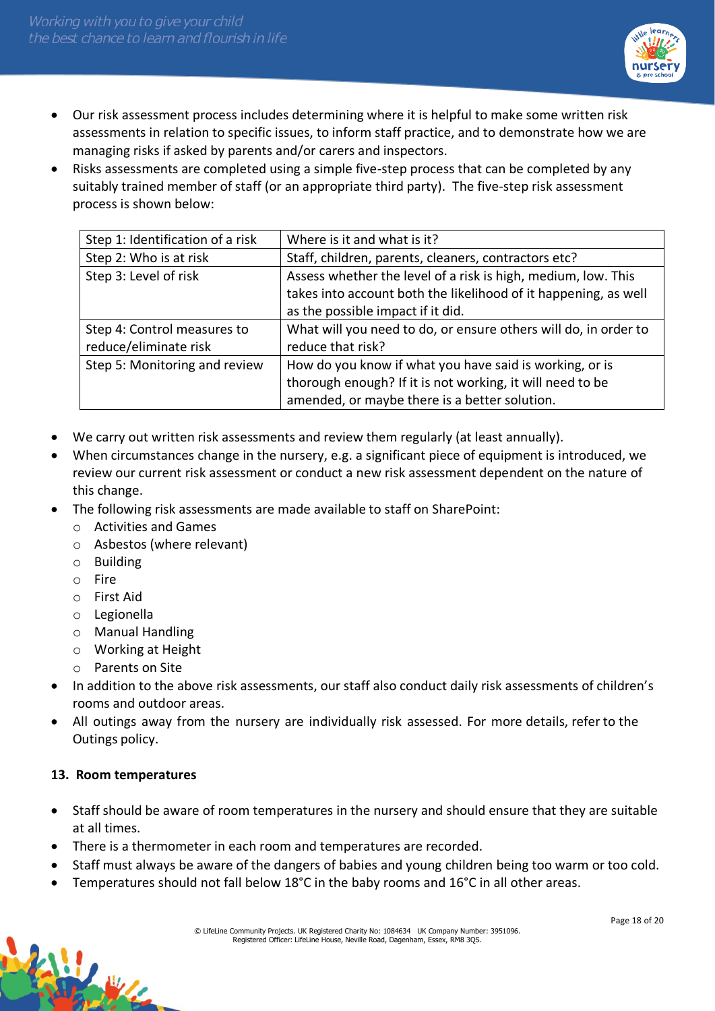

- Our risk assessment process includes determining where it is helpful to make some written risk assessments in relation to specific issues, to inform staff practice, and to demonstrate how we are managing risks if asked by parents and/or carers and inspectors.
- Risks assessments are completed using a simple five-step process that can be completed by any suitably trained member of staff (or an appropriate third party). The five-step risk assessment process is shown below:

| Step 1: Identification of a risk | Where is it and what is it?                                     |
|----------------------------------|-----------------------------------------------------------------|
| Step 2: Who is at risk           | Staff, children, parents, cleaners, contractors etc?            |
| Step 3: Level of risk            | Assess whether the level of a risk is high, medium, low. This   |
|                                  | takes into account both the likelihood of it happening, as well |
|                                  | as the possible impact if it did.                               |
| Step 4: Control measures to      | What will you need to do, or ensure others will do, in order to |
| reduce/eliminate risk            | reduce that risk?                                               |
| Step 5: Monitoring and review    | How do you know if what you have said is working, or is         |
|                                  | thorough enough? If it is not working, it will need to be       |
|                                  | amended, or maybe there is a better solution.                   |

- We carry out written risk assessments and review them regularly (at least annually).
- When circumstances change in the nursery, e.g. a significant piece of equipment is introduced, we review our current risk assessment or conduct a new risk assessment dependent on the nature of this change.
- The following risk assessments are made available to staff on SharePoint:
	- o Activities and Games
	- o Asbestos (where relevant)
	- o Building
	- o Fire
	- o First Aid
	- o Legionella
	- o Manual Handling
	- o Working at Height
	- o Parents on Site
- In addition to the above risk assessments, our staff also conduct daily risk assessments of children's rooms and outdoor areas.
- All outings away from the nursery are individually risk assessed. For more details, refer to the Outings policy.

#### **13. Room temperatures**

- Staff should be aware of room temperatures in the nursery and should ensure that they are suitable at all times.
- There is a thermometer in each room and temperatures are recorded.
- Staff must always be aware of the dangers of babies and young children being too warm or too cold.
- Temperatures should not fall below 18°C in the baby rooms and 16°C in all other areas.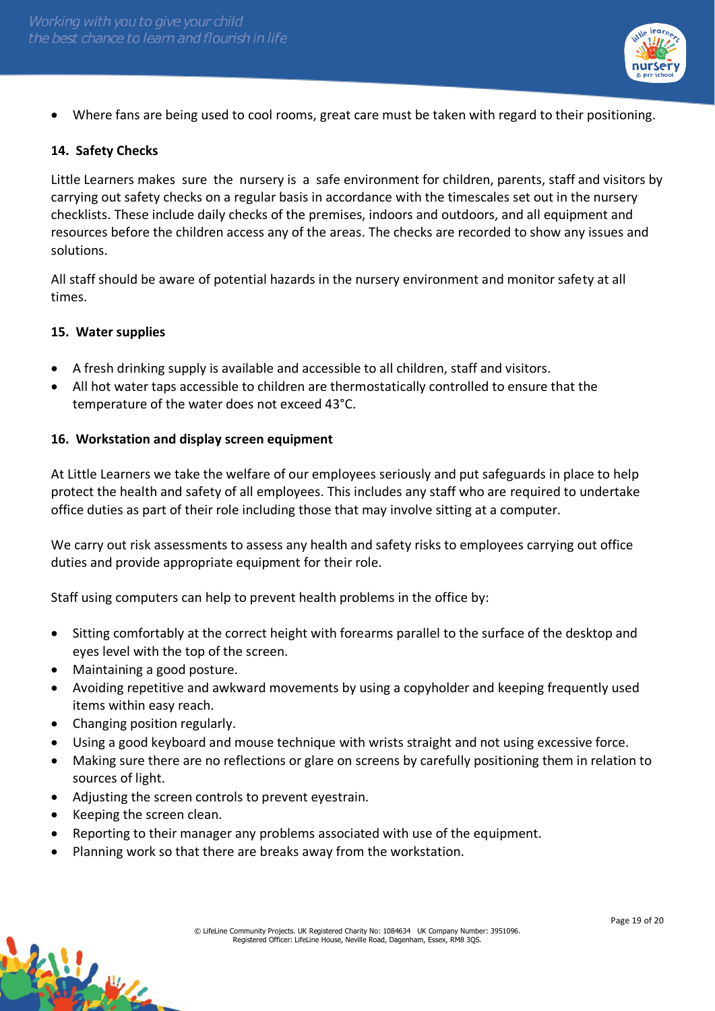

• Where fans are being used to cool rooms, great care must be taken with regard to their positioning.

### **14. Safety Checks**

Little Learners makes sure the nursery is a safe environment for children, parents, staff and visitors by carrying out safety checks on a regular basis in accordance with the timescales set out in the nursery checklists. These include daily checks of the premises, indoors and outdoors, and all equipment and resources before the children access any of the areas. The checks are recorded to show any issues and solutions.

All staff should be aware of potential hazards in the nursery environment and monitor safety at all times.

#### **15. Water supplies**

- A fresh drinking supply is available and accessible to all children, staff and visitors.
- All hot water taps accessible to children are thermostatically controlled to ensure that the temperature of the water does not exceed 43°C.

#### **16. Workstation and display screen equipment**

At Little Learners we take the welfare of our employees seriously and put safeguards in place to help protect the health and safety of all employees. This includes any staff who are required to undertake office duties as part of their role including those that may involve sitting at a computer.

We carry out risk assessments to assess any health and safety risks to employees carrying out office duties and provide appropriate equipment for their role.

Staff using computers can help to prevent health problems in the office by:

- Sitting comfortably at the correct height with forearms parallel to the surface of the desktop and eyes level with the top of the screen.
- Maintaining a good posture.
- Avoiding repetitive and awkward movements by using a copyholder and keeping frequently used items within easy reach.
- Changing position regularly.
- Using a good keyboard and mouse technique with wrists straight and not using excessive force.
- Making sure there are no reflections or glare on screens by carefully positioning them in relation to sources of light.
- Adjusting the screen controls to prevent eyestrain.
- Keeping the screen clean.
- Reporting to their manager any problems associated with use of the equipment.
- Planning work so that there are breaks away from the workstation.